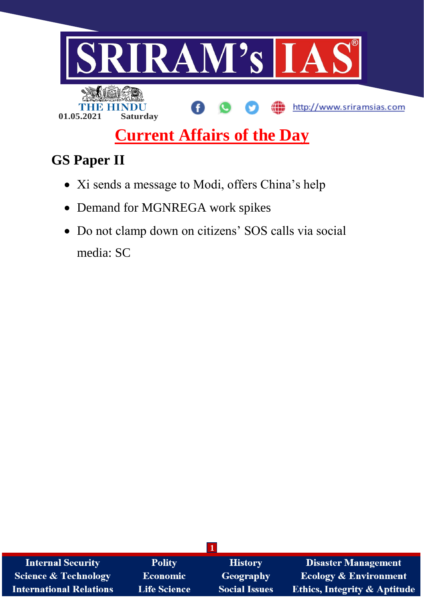

# **Current Affairs of the Day**

# **GS Paper II**

- Xi sends a message to Modi, offers China's help
- Demand for MGNREGA work spikes
- Do not clamp down on citizens' SOS calls via social media: SC

| <b>Internal Security</b>       | <b>Polity</b>       | <b>History</b>       | <b>Disaster Management</b>              |  |  |
|--------------------------------|---------------------|----------------------|-----------------------------------------|--|--|
| Science & Technology           | <b>Economic</b>     | Geography            | <b>Ecology &amp; Environment</b>        |  |  |
| <b>International Relations</b> | <b>Life Science</b> | <b>Social Issues</b> | <b>Ethics, Integrity &amp; Aptitude</b> |  |  |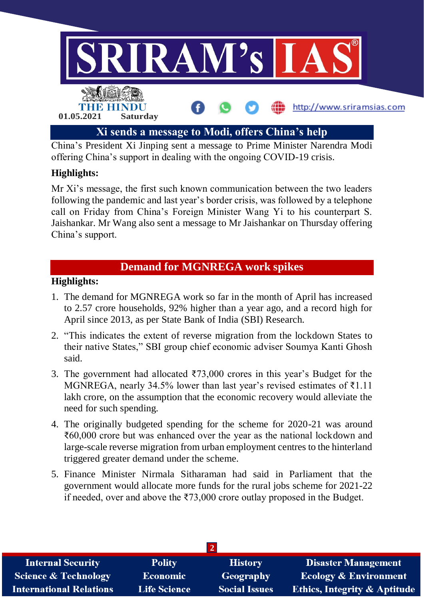

China's President Xi Jinping sent a message to Prime Minister Narendra Modi offering China's support in dealing with the ongoing COVID-19 crisis.

### **Highlights:**

Mr Xi's message, the first such known communication between the two leaders following the pandemic and last year's border crisis, was followed by a telephone call on Friday from China's Foreign Minister Wang Yi to his counterpart S. Jaishankar. Mr Wang also sent a message to Mr Jaishankar on Thursday offering China's support.

## **Demand for MGNREGA work spikes**

#### **Highlights:**

- 1. The demand for MGNREGA work so far in the month of April has increased to 2.57 crore households, 92% higher than a year ago, and a record high for April since 2013, as per State Bank of India (SBI) Research.
- 2. "This indicates the extent of reverse migration from the lockdown States to their native States," SBI group chief economic adviser Soumya Kanti Ghosh said.
- 3. The government had allocated ₹73,000 crores in this year's Budget for the MGNREGA, nearly 34.5% lower than last year's revised estimates of  $\bar{\tau}1.11$ lakh crore, on the assumption that the economic recovery would alleviate the need for such spending.
- 4. The originally budgeted spending for the scheme for 2020-21 was around ₹60,000 crore but was enhanced over the year as the national lockdown and large-scale reverse migration from urban employment centres to the hinterland triggered greater demand under the scheme.
- 5. Finance Minister Nirmala Sitharaman had said in Parliament that the government would allocate more funds for the rural jobs scheme for 2021-22 if needed, over and above the ₹73,000 crore outlay proposed in the Budget.

| <b>Internal Security</b>        | <b>Polity</b>       | <b>History</b>       | Disaster Management                     |  |  |  |
|---------------------------------|---------------------|----------------------|-----------------------------------------|--|--|--|
| <b>Science &amp; Technology</b> | <b>Economic</b>     | Geography            | <b>Ecology &amp; Environment</b>        |  |  |  |
| <b>International Relations</b>  | <b>Life Science</b> | <b>Social Issues</b> | <b>Ethics, Integrity &amp; Aptitude</b> |  |  |  |